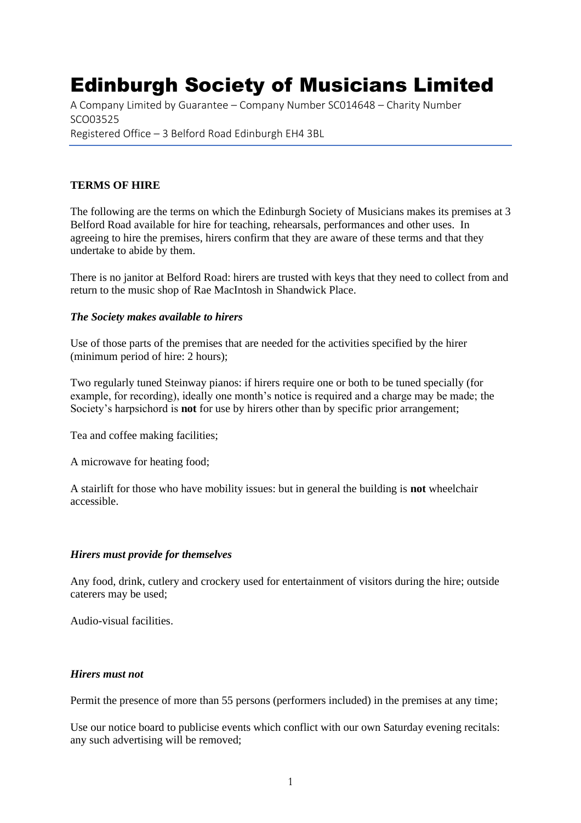# Edinburgh Society of Musicians Limited

A Company Limited by Guarantee – Company Number SC014648 – Charity Number SCO03525 Registered Office – 3 Belford Road Edinburgh EH4 3BL

# **TERMS OF HIRE**

The following are the terms on which the Edinburgh Society of Musicians makes its premises at 3 Belford Road available for hire for teaching, rehearsals, performances and other uses. In agreeing to hire the premises, hirers confirm that they are aware of these terms and that they undertake to abide by them.

There is no janitor at Belford Road: hirers are trusted with keys that they need to collect from and return to the music shop of Rae MacIntosh in Shandwick Place.

#### *The Society makes available to hirers*

Use of those parts of the premises that are needed for the activities specified by the hirer (minimum period of hire: 2 hours);

Two regularly tuned Steinway pianos: if hirers require one or both to be tuned specially (for example, for recording), ideally one month's notice is required and a charge may be made; the Society's harpsichord is **not** for use by hirers other than by specific prior arrangement;

Tea and coffee making facilities;

A microwave for heating food;

A stairlift for those who have mobility issues: but in general the building is **not** wheelchair accessible.

#### *Hirers must provide for themselves*

Any food, drink, cutlery and crockery used for entertainment of visitors during the hire; outside caterers may be used;

Audio-visual facilities.

#### *Hirers must not*

Permit the presence of more than 55 persons (performers included) in the premises at any time;

Use our notice board to publicise events which conflict with our own Saturday evening recitals: any such advertising will be removed;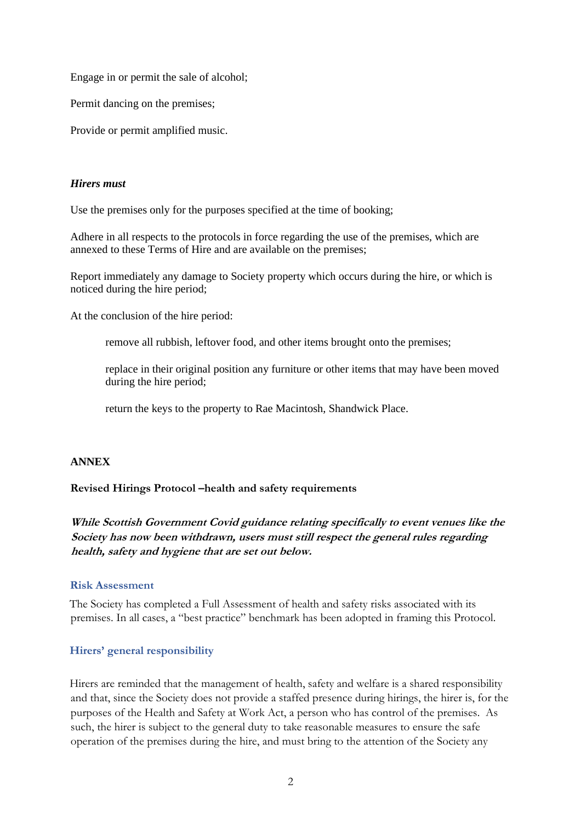Engage in or permit the sale of alcohol;

Permit dancing on the premises;

Provide or permit amplified music.

#### *Hirers must*

Use the premises only for the purposes specified at the time of booking;

Adhere in all respects to the protocols in force regarding the use of the premises, which are annexed to these Terms of Hire and are available on the premises;

Report immediately any damage to Society property which occurs during the hire, or which is noticed during the hire period;

At the conclusion of the hire period:

remove all rubbish, leftover food, and other items brought onto the premises;

replace in their original position any furniture or other items that may have been moved during the hire period;

return the keys to the property to Rae Macintosh, Shandwick Place.

#### **ANNEX**

#### **Revised Hirings Protocol –health and safety requirements**

**While Scottish Government Covid guidance relating specifically to event venues like the Society has now been withdrawn, users must still respect the general rules regarding health, safety and hygiene that are set out below.**

#### **Risk Assessment**

The Society has completed a Full Assessment of health and safety risks associated with its premises. In all cases, a "best practice" benchmark has been adopted in framing this Protocol.

#### **Hirers' general responsibility**

Hirers are reminded that the management of health, safety and welfare is a shared responsibility and that, since the Society does not provide a staffed presence during hirings, the hirer is, for the purposes of the Health and Safety at Work Act, a person who has control of the premises. As such, the hirer is subject to the general duty to take reasonable measures to ensure the safe operation of the premises during the hire, and must bring to the attention of the Society any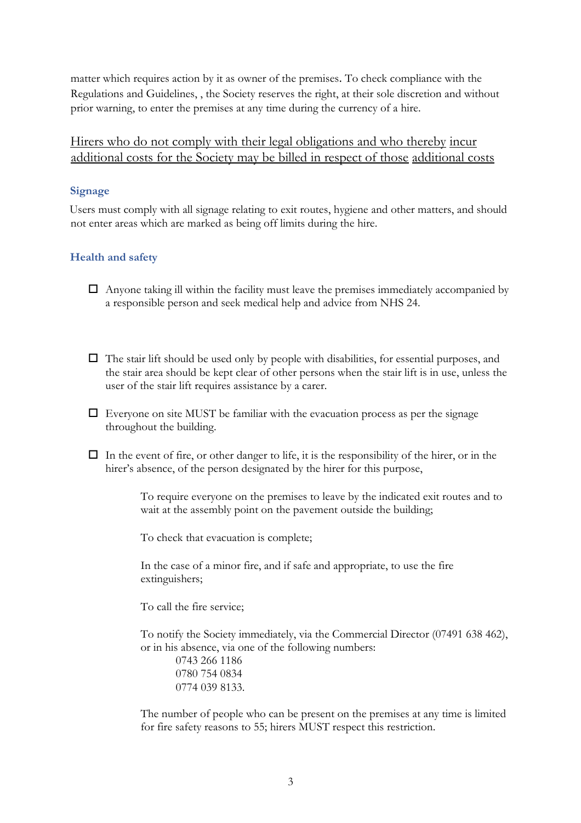matter which requires action by it as owner of the premises. To check compliance with the Regulations and Guidelines, , the Society reserves the right, at their sole discretion and without prior warning, to enter the premises at any time during the currency of a hire.

# Hirers who do not comply with their legal obligations and who thereby incur additional costs for the Society may be billed in respect of those additional costs

# **Signage**

Users must comply with all signage relating to exit routes, hygiene and other matters, and should not enter areas which are marked as being off limits during the hire.

# **Health and safety**

- $\Box$  Anyone taking ill within the facility must leave the premises immediately accompanied by a responsible person and seek medical help and advice from NHS 24.
- $\Box$  The stair lift should be used only by people with disabilities, for essential purposes, and the stair area should be kept clear of other persons when the stair lift is in use, unless the user of the stair lift requires assistance by a carer.
- $\Box$  Everyone on site MUST be familiar with the evacuation process as per the signage throughout the building.
- $\Box$  In the event of fire, or other danger to life, it is the responsibility of the hirer, or in the hirer's absence, of the person designated by the hirer for this purpose,

To require everyone on the premises to leave by the indicated exit routes and to wait at the assembly point on the pavement outside the building;

To check that evacuation is complete;

In the case of a minor fire, and if safe and appropriate, to use the fire extinguishers;

To call the fire service;

To notify the Society immediately, via the Commercial Director (07491 638 462), or in his absence, via one of the following numbers:

0743 266 1186 0780 754 0834 0774 039 8133.

The number of people who can be present on the premises at any time is limited for fire safety reasons to 55; hirers MUST respect this restriction.